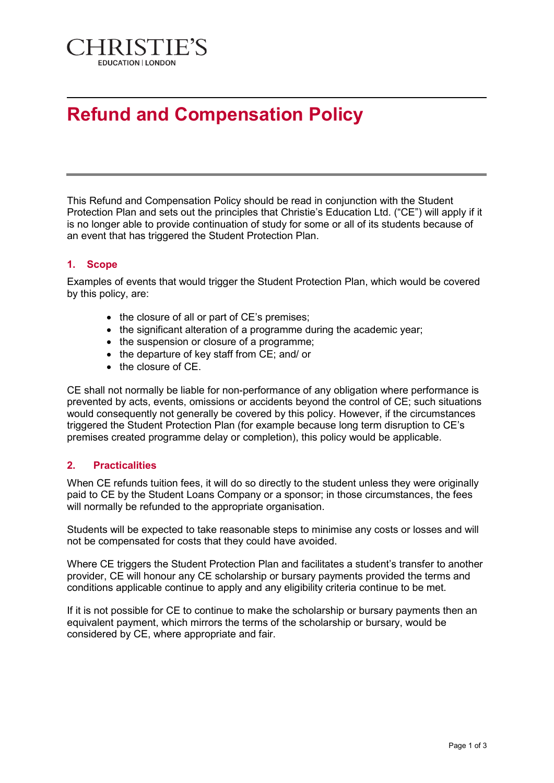

## **Refund and Compensation Policy**

This Refund and Compensation Policy should be read in conjunction with the Student Protection Plan and sets out the principles that Christie's Education Ltd. ("CE") will apply if it is no longer able to provide continuation of study for some or all of its students because of an event that has triggered the Student Protection Plan.

## **1. Scope**

Examples of events that would trigger the Student Protection Plan, which would be covered by this policy, are:

- the closure of all or part of CE's premises;
- the significant alteration of a programme during the academic year;
- the suspension or closure of a programme:
- the departure of key staff from CE; and/ or
- the closure of CE.

CE shall not normally be liable for non-performance of any obligation where performance is prevented by acts, events, omissions or accidents beyond the control of CE; such situations would consequently not generally be covered by this policy. However, if the circumstances triggered the Student Protection Plan (for example because long term disruption to CE's premises created programme delay or completion), this policy would be applicable.

## **2. Practicalities**

When CE refunds tuition fees, it will do so directly to the student unless they were originally paid to CE by the Student Loans Company or a sponsor; in those circumstances, the fees will normally be refunded to the appropriate organisation.

Students will be expected to take reasonable steps to minimise any costs or losses and will not be compensated for costs that they could have avoided.

Where CE triggers the Student Protection Plan and facilitates a student's transfer to another provider, CE will honour any CE scholarship or bursary payments provided the terms and conditions applicable continue to apply and any eligibility criteria continue to be met.

If it is not possible for CE to continue to make the scholarship or bursary payments then an equivalent payment, which mirrors the terms of the scholarship or bursary, would be considered by CE, where appropriate and fair.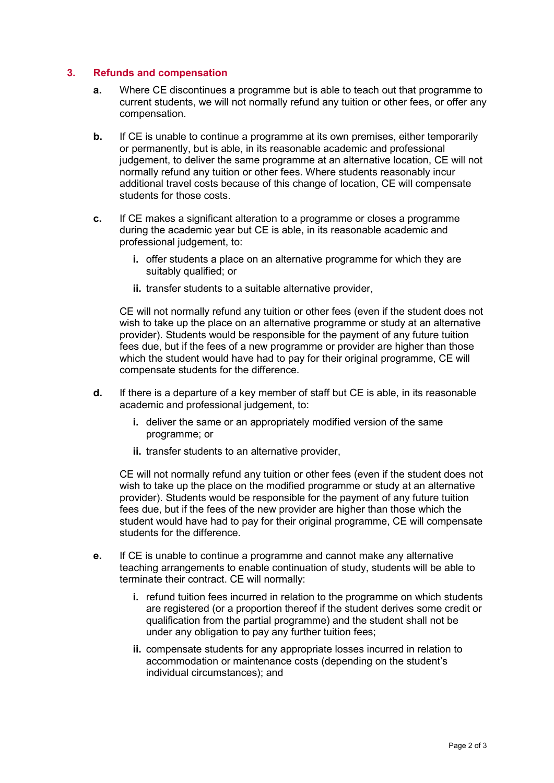## **3. Refunds and compensation**

- **a.** Where CE discontinues a programme but is able to teach out that programme to current students, we will not normally refund any tuition or other fees, or offer any compensation.
- **b.** If CE is unable to continue a programme at its own premises, either temporarily or permanently, but is able, in its reasonable academic and professional judgement, to deliver the same programme at an alternative location, CE will not normally refund any tuition or other fees. Where students reasonably incur additional travel costs because of this change of location, CE will compensate students for those costs.
- **c.** If CE makes a significant alteration to a programme or closes a programme during the academic year but CE is able, in its reasonable academic and professional judgement, to:
	- **i.** offer students a place on an alternative programme for which they are suitably qualified; or
	- **ii.** transfer students to a suitable alternative provider,

CE will not normally refund any tuition or other fees (even if the student does not wish to take up the place on an alternative programme or study at an alternative provider). Students would be responsible for the payment of any future tuition fees due, but if the fees of a new programme or provider are higher than those which the student would have had to pay for their original programme, CE will compensate students for the difference.

- **d.** If there is a departure of a key member of staff but CE is able, in its reasonable academic and professional judgement, to:
	- **i.** deliver the same or an appropriately modified version of the same programme; or
	- **ii.** transfer students to an alternative provider,

CE will not normally refund any tuition or other fees (even if the student does not wish to take up the place on the modified programme or study at an alternative provider). Students would be responsible for the payment of any future tuition fees due, but if the fees of the new provider are higher than those which the student would have had to pay for their original programme, CE will compensate students for the difference.

- **e.** If CE is unable to continue a programme and cannot make any alternative teaching arrangements to enable continuation of study, students will be able to terminate their contract. CE will normally:
	- **i.** refund tuition fees incurred in relation to the programme on which students are registered (or a proportion thereof if the student derives some credit or qualification from the partial programme) and the student shall not be under any obligation to pay any further tuition fees;
	- **ii.** compensate students for any appropriate losses incurred in relation to accommodation or maintenance costs (depending on the student's individual circumstances); and